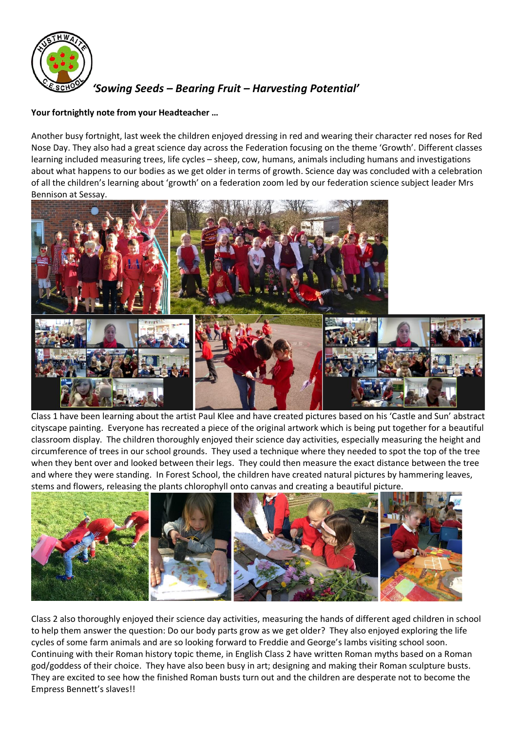

# *'Sowing Seeds – Bearing Fruit – Harvesting Potential'*

## **Your fortnightly note from your Headteacher …**

Another busy fortnight, last week the children enjoyed dressing in red and wearing their character red noses for Red Nose Day. They also had a great science day across the Federation focusing on the theme 'Growth'. Different classes learning included measuring trees, life cycles – sheep, cow, humans, animals including humans and investigations about what happens to our bodies as we get older in terms of growth. Science day was concluded with a celebration of all the children's learning about 'growth' on a federation zoom led by our federation science subject leader Mrs Bennison at Sessay.



Class 1 have been learning about the artist Paul Klee and have created pictures based on his 'Castle and Sun' abstract cityscape painting. Everyone has recreated a piece of the original artwork which is being put together for a beautiful classroom display. The children thoroughly enjoyed their science day activities, especially measuring the height and circumference of trees in our school grounds. They used a technique where they needed to spot the top of the tree when they bent over and looked between their legs. They could then measure the exact distance between the tree and where they were standing. In Forest School, the children have created natural pictures by hammering leaves, stems and flowers, releasing the plants chlorophyll onto canvas and creating a beautiful picture.



Class 2 also thoroughly enjoyed their science day activities, measuring the hands of different aged children in school to help them answer the question: Do our body parts grow as we get older? They also enjoyed exploring the life cycles of some farm animals and are so looking forward to Freddie and George's lambs visiting school soon. Continuing with their Roman history topic theme, in English Class 2 have written Roman myths based on a Roman god/goddess of their choice. They have also been busy in art; designing and making their Roman sculpture busts. They are excited to see how the finished Roman busts turn out and the children are desperate not to become the Empress Bennett's slaves!!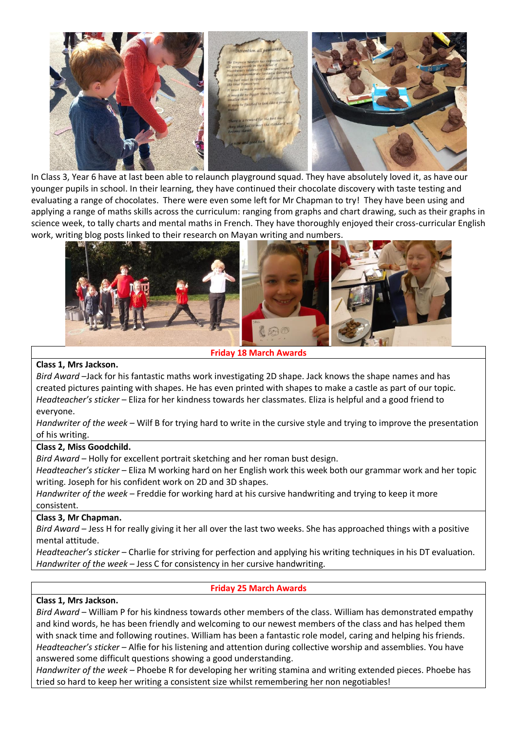

In Class 3, Year 6 have at last been able to relaunch playground squad. They have absolutely loved it, as have our younger pupils in school. In their learning, they have continued their chocolate discovery with taste testing and evaluating a range of chocolates. There were even some left for Mr Chapman to try! They have been using and applying a range of maths skills across the curriculum: ranging from graphs and chart drawing, such as their graphs in science week, to tally charts and mental maths in French. They have thoroughly enjoyed their cross-curricular English work, writing blog posts linked to their research on Mayan writing and numbers.



**Friday 18 March Awards**

# **Class 1, Mrs Jackson.**

*Bird Award* –Jack for his fantastic maths work investigating 2D shape. Jack knows the shape names and has created pictures painting with shapes. He has even printed with shapes to make a castle as part of our topic. *Headteacher's sticker* – Eliza for her kindness towards her classmates. Eliza is helpful and a good friend to everyone.

*Handwriter of the week* – Wilf B for trying hard to write in the cursive style and trying to improve the presentation of his writing.

#### **Class 2, Miss Goodchild.**

*Bird Award* – Holly for excellent portrait sketching and her roman bust design.

*Headteacher's sticker* – Eliza M working hard on her English work this week both our grammar work and her topic writing. Joseph for his confident work on 2D and 3D shapes.

*Handwriter of the week* – Freddie for working hard at his cursive handwriting and trying to keep it more consistent.

#### **Class 3, Mr Chapman.**

*Bird Award* – Jess H for really giving it her all over the last two weeks. She has approached things with a positive mental attitude.

*Headteacher's sticker* – Charlie for striving for perfection and applying his writing techniques in his DT evaluation. *Handwriter of the week* – Jess C for consistency in her cursive handwriting.

#### **Friday 25 March Awards**

#### **Class 1, Mrs Jackson.**

*Bird Award* – William P for his kindness towards other members of the class. William has demonstrated empathy and kind words, he has been friendly and welcoming to our newest members of the class and has helped them with snack time and following routines. William has been a fantastic role model, caring and helping his friends. *Headteacher's sticker* – Alfie for his listening and attention during collective worship and assemblies. You have answered some difficult questions showing a good understanding.

*Handwriter of the week* – Phoebe R for developing her writing stamina and writing extended pieces. Phoebe has tried so hard to keep her writing a consistent size whilst remembering her non negotiables!